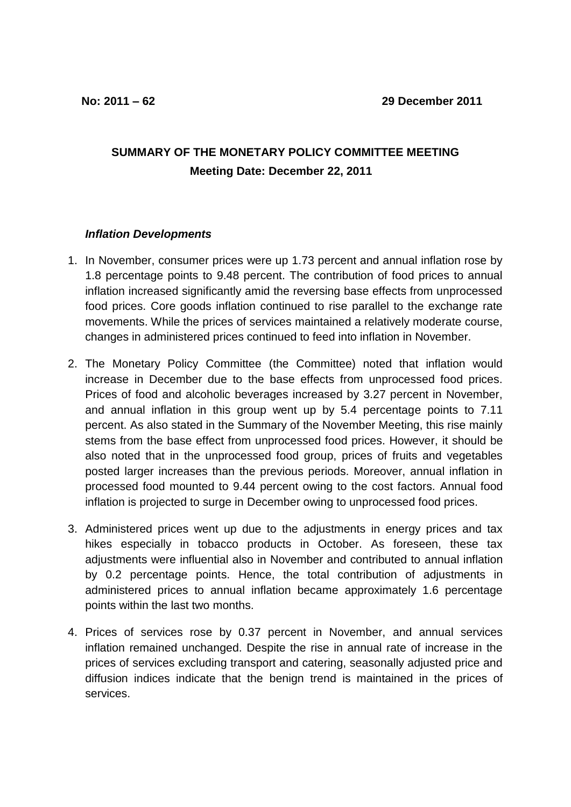## **SUMMARY OF THE MONETARY POLICY COMMITTEE MEETING Meeting Date: December 22, 2011**

## *Inflation Developments*

- 1. In November, consumer prices were up 1.73 percent and annual inflation rose by 1.8 percentage points to 9.48 percent. The contribution of food prices to annual inflation increased significantly amid the reversing base effects from unprocessed food prices. Core goods inflation continued to rise parallel to the exchange rate movements. While the prices of services maintained a relatively moderate course, changes in administered prices continued to feed into inflation in November.
- 2. The Monetary Policy Committee (the Committee) noted that inflation would increase in December due to the base effects from unprocessed food prices. Prices of food and alcoholic beverages increased by 3.27 percent in November, and annual inflation in this group went up by 5.4 percentage points to 7.11 percent. As also stated in the Summary of the November Meeting, this rise mainly stems from the base effect from unprocessed food prices. However, it should be also noted that in the unprocessed food group, prices of fruits and vegetables posted larger increases than the previous periods. Moreover, annual inflation in processed food mounted to 9.44 percent owing to the cost factors. Annual food inflation is projected to surge in December owing to unprocessed food prices.
- 3. Administered prices went up due to the adjustments in energy prices and tax hikes especially in tobacco products in October. As foreseen, these tax adjustments were influential also in November and contributed to annual inflation by 0.2 percentage points. Hence, the total contribution of adjustments in administered prices to annual inflation became approximately 1.6 percentage points within the last two months.
- 4. Prices of services rose by 0.37 percent in November, and annual services inflation remained unchanged. Despite the rise in annual rate of increase in the prices of services excluding transport and catering, seasonally adjusted price and diffusion indices indicate that the benign trend is maintained in the prices of services.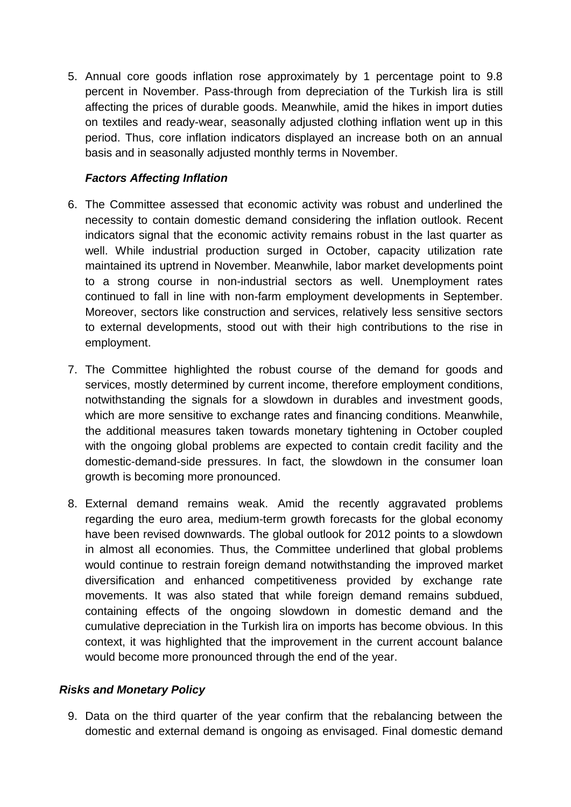5. Annual core goods inflation rose approximately by 1 percentage point to 9.8 percent in November. Pass-through from depreciation of the Turkish lira is still affecting the prices of durable goods. Meanwhile, amid the hikes in import duties on textiles and ready-wear, seasonally adjusted clothing inflation went up in this period. Thus, core inflation indicators displayed an increase both on an annual basis and in seasonally adjusted monthly terms in November.

## *Factors Affecting Inflation*

- 6. The Committee assessed that economic activity was robust and underlined the necessity to contain domestic demand considering the inflation outlook. Recent indicators signal that the economic activity remains robust in the last quarter as well. While industrial production surged in October, capacity utilization rate maintained its uptrend in November. Meanwhile, labor market developments point to a strong course in non-industrial sectors as well. Unemployment rates continued to fall in line with non-farm employment developments in September. Moreover, sectors like construction and services, relatively less sensitive sectors to external developments, stood out with their high contributions to the rise in employment.
- 7. The Committee highlighted the robust course of the demand for goods and services, mostly determined by current income, therefore employment conditions, notwithstanding the signals for a slowdown in durables and investment goods, which are more sensitive to exchange rates and financing conditions. Meanwhile, the additional measures taken towards monetary tightening in October coupled with the ongoing global problems are expected to contain credit facility and the domestic-demand-side pressures. In fact, the slowdown in the consumer loan growth is becoming more pronounced.
- 8. External demand remains weak. Amid the recently aggravated problems regarding the euro area, medium-term growth forecasts for the global economy have been revised downwards. The global outlook for 2012 points to a slowdown in almost all economies. Thus, the Committee underlined that global problems would continue to restrain foreign demand notwithstanding the improved market diversification and enhanced competitiveness provided by exchange rate movements. It was also stated that while foreign demand remains subdued, containing effects of the ongoing slowdown in domestic demand and the cumulative depreciation in the Turkish lira on imports has become obvious. In this context, it was highlighted that the improvement in the current account balance would become more pronounced through the end of the year.

## *Risks and Monetary Policy*

9. Data on the third quarter of the year confirm that the rebalancing between the domestic and external demand is ongoing as envisaged. Final domestic demand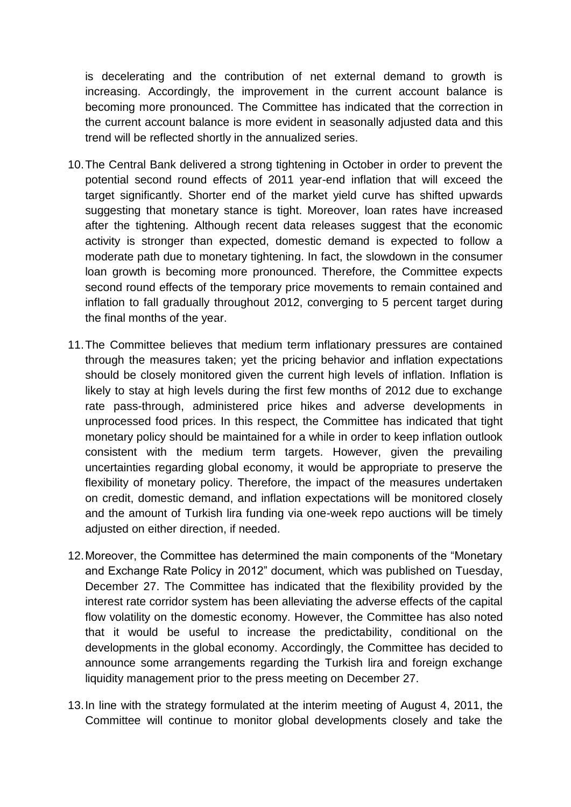is decelerating and the contribution of net external demand to growth is increasing. Accordingly, the improvement in the current account balance is becoming more pronounced. The Committee has indicated that the correction in the current account balance is more evident in seasonally adjusted data and this trend will be reflected shortly in the annualized series.

- 10.The Central Bank delivered a strong tightening in October in order to prevent the potential second round effects of 2011 year-end inflation that will exceed the target significantly. Shorter end of the market yield curve has shifted upwards suggesting that monetary stance is tight. Moreover, loan rates have increased after the tightening. Although recent data releases suggest that the economic activity is stronger than expected, domestic demand is expected to follow a moderate path due to monetary tightening. In fact, the slowdown in the consumer loan growth is becoming more pronounced. Therefore, the Committee expects second round effects of the temporary price movements to remain contained and inflation to fall gradually throughout 2012, converging to 5 percent target during the final months of the year.
- 11.The Committee believes that medium term inflationary pressures are contained through the measures taken; yet the pricing behavior and inflation expectations should be closely monitored given the current high levels of inflation. Inflation is likely to stay at high levels during the first few months of 2012 due to exchange rate pass-through, administered price hikes and adverse developments in unprocessed food prices. In this respect, the Committee has indicated that tight monetary policy should be maintained for a while in order to keep inflation outlook consistent with the medium term targets. However, given the prevailing uncertainties regarding global economy, it would be appropriate to preserve the flexibility of monetary policy. Therefore, the impact of the measures undertaken on credit, domestic demand, and inflation expectations will be monitored closely and the amount of Turkish lira funding via one-week repo auctions will be timely adjusted on either direction, if needed.
- 12.Moreover, the Committee has determined the main components of the "Monetary and Exchange Rate Policy in 2012" document, which was published on Tuesday, December 27. The Committee has indicated that the flexibility provided by the interest rate corridor system has been alleviating the adverse effects of the capital flow volatility on the domestic economy. However, the Committee has also noted that it would be useful to increase the predictability, conditional on the developments in the global economy. Accordingly, the Committee has decided to announce some arrangements regarding the Turkish lira and foreign exchange liquidity management prior to the press meeting on December 27.
- 13.In line with the strategy formulated at the interim meeting of August 4, 2011, the Committee will continue to monitor global developments closely and take the